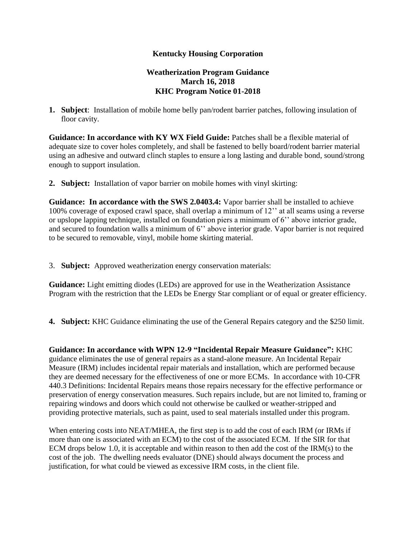## **Kentucky Housing Corporation**

## **Weatherization Program Guidance March 16, 2018 KHC Program Notice 01-2018**

**1. Subject**: Installation of mobile home belly pan/rodent barrier patches, following insulation of floor cavity.

**Guidance: In accordance with KY WX Field Guide:** Patches shall be a flexible material of adequate size to cover holes completely, and shall be fastened to belly board/rodent barrier material using an adhesive and outward clinch staples to ensure a long lasting and durable bond, sound/strong enough to support insulation.

**2. Subject:** Installation of vapor barrier on mobile homes with vinyl skirting:

**Guidance: In accordance with the SWS 2.0403.4:** Vapor barrier shall be installed to achieve 100% coverage of exposed crawl space, shall overlap a minimum of 12'' at all seams using a reverse or upslope lapping technique, installed on foundation piers a minimum of 6'' above interior grade, and secured to foundation walls a minimum of 6'' above interior grade. Vapor barrier is not required to be secured to removable, vinyl, mobile home skirting material.

3. **Subject:** Approved weatherization energy conservation materials:

**Guidance:** Light emitting diodes (LEDs) are approved for use in the Weatherization Assistance Program with the restriction that the LEDs be Energy Star compliant or of equal or greater efficiency.

**4. Subject:** KHC Guidance eliminating the use of the General Repairs category and the \$250 limit.

**Guidance: In accordance with WPN 12-9 "Incidental Repair Measure Guidance":** KHC guidance eliminates the use of general repairs as a stand-alone measure. An Incidental Repair Measure (IRM) includes incidental repair materials and installation, which are performed because they are deemed necessary for the effectiveness of one or more ECMs. In accordance with 10-CFR 440.3 Definitions: Incidental Repairs means those repairs necessary for the effective performance or preservation of energy conservation measures. Such repairs include, but are not limited to, framing or repairing windows and doors which could not otherwise be caulked or weather-stripped and providing protective materials, such as paint, used to seal materials installed under this program.

When entering costs into NEAT/MHEA, the first step is to add the cost of each IRM (or IRMs if more than one is associated with an ECM) to the cost of the associated ECM. If the SIR for that ECM drops below 1.0, it is acceptable and within reason to then add the cost of the IRM(s) to the cost of the job. The dwelling needs evaluator (DNE) should always document the process and justification, for what could be viewed as excessive IRM costs, in the client file.